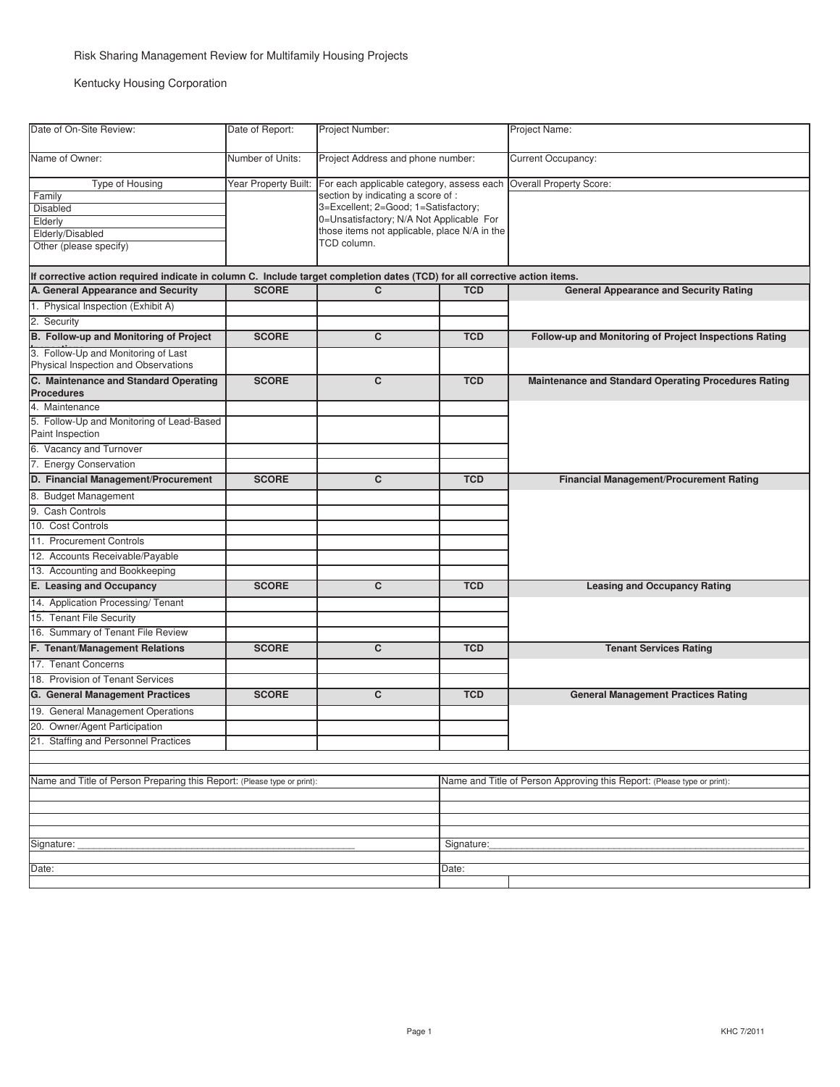Kentucky Housing Corporation

| Date of On-Site Review:                                                                                                    | Date of Report:      | Project Number:                                                                                                                                                                                                                    |            | Project Name:                                                           |
|----------------------------------------------------------------------------------------------------------------------------|----------------------|------------------------------------------------------------------------------------------------------------------------------------------------------------------------------------------------------------------------------------|------------|-------------------------------------------------------------------------|
| Name of Owner:                                                                                                             | Number of Units:     | Project Address and phone number:                                                                                                                                                                                                  |            | Current Occupancy:                                                      |
| Type of Housing<br>Family<br><b>Disabled</b><br>Elderly<br>Elderly/Disabled<br>Other (please specify)                      | Year Property Built: | For each applicable category, assess each<br>section by indicating a score of :<br>3=Excellent; 2=Good; 1=Satisfactory;<br>0=Unsatisfactory; N/A Not Applicable For<br>those items not applicable, place N/A in the<br>TCD column. |            | Overall Property Score:                                                 |
| If corrective action required indicate in column C. Include target completion dates (TCD) for all corrective action items. |                      |                                                                                                                                                                                                                                    |            |                                                                         |
| A. General Appearance and Security                                                                                         | <b>SCORE</b>         | $\mathbf{C}$                                                                                                                                                                                                                       | <b>TCD</b> | <b>General Appearance and Security Rating</b>                           |
| 1. Physical Inspection (Exhibit A)                                                                                         |                      |                                                                                                                                                                                                                                    |            |                                                                         |
| 2. Security                                                                                                                |                      |                                                                                                                                                                                                                                    |            |                                                                         |
| B. Follow-up and Monitoring of Project                                                                                     | <b>SCORE</b>         | C                                                                                                                                                                                                                                  | <b>TCD</b> | Follow-up and Monitoring of Project Inspections Rating                  |
| 3. Follow-Up and Monitoring of Last<br>Physical Inspection and Observations                                                |                      |                                                                                                                                                                                                                                    |            |                                                                         |
| C. Maintenance and Standard Operating<br><b>Procedures</b>                                                                 | <b>SCORE</b>         | C                                                                                                                                                                                                                                  | <b>TCD</b> | <b>Maintenance and Standard Operating Procedures Rating</b>             |
| 4. Maintenance                                                                                                             |                      |                                                                                                                                                                                                                                    |            |                                                                         |
| 5. Follow-Up and Monitoring of Lead-Based<br>Paint Inspection                                                              |                      |                                                                                                                                                                                                                                    |            |                                                                         |
| 6. Vacancy and Turnover                                                                                                    |                      |                                                                                                                                                                                                                                    |            |                                                                         |
| 7. Energy Conservation                                                                                                     |                      |                                                                                                                                                                                                                                    |            |                                                                         |
| D. Financial Management/Procurement                                                                                        | <b>SCORE</b>         | C                                                                                                                                                                                                                                  | <b>TCD</b> | <b>Financial Management/Procurement Rating</b>                          |
| 8. Budget Management                                                                                                       |                      |                                                                                                                                                                                                                                    |            |                                                                         |
| 9. Cash Controls                                                                                                           |                      |                                                                                                                                                                                                                                    |            |                                                                         |
| 10. Cost Controls                                                                                                          |                      |                                                                                                                                                                                                                                    |            |                                                                         |
| 11. Procurement Controls                                                                                                   |                      |                                                                                                                                                                                                                                    |            |                                                                         |
| 12. Accounts Receivable/Payable                                                                                            |                      |                                                                                                                                                                                                                                    |            |                                                                         |
| 13. Accounting and Bookkeeping                                                                                             |                      |                                                                                                                                                                                                                                    |            |                                                                         |
| E. Leasing and Occupancy                                                                                                   | <b>SCORE</b>         | C                                                                                                                                                                                                                                  | <b>TCD</b> | <b>Leasing and Occupancy Rating</b>                                     |
| 14. Application Processing/Tenant                                                                                          |                      |                                                                                                                                                                                                                                    |            |                                                                         |
| 15. Tenant File Security                                                                                                   |                      |                                                                                                                                                                                                                                    |            |                                                                         |
| 16. Summary of Tenant File Review                                                                                          |                      |                                                                                                                                                                                                                                    |            |                                                                         |
| F. Tenant/Management Relations                                                                                             | <b>SCORE</b>         | C                                                                                                                                                                                                                                  | <b>TCD</b> | <b>Tenant Services Rating</b>                                           |
| 17. Tenant Concerns                                                                                                        |                      |                                                                                                                                                                                                                                    |            |                                                                         |
| 18. Provision of Tenant Services                                                                                           |                      |                                                                                                                                                                                                                                    |            |                                                                         |
| <b>G.</b> General Management Practices                                                                                     | <b>SCORE</b>         | C                                                                                                                                                                                                                                  | <b>TCD</b> | <b>General Management Practices Rating</b>                              |
| 19. General Management Operations                                                                                          |                      |                                                                                                                                                                                                                                    |            |                                                                         |
| 20. Owner/Agent Participation                                                                                              |                      |                                                                                                                                                                                                                                    |            |                                                                         |
| 21. Staffing and Personnel Practices                                                                                       |                      |                                                                                                                                                                                                                                    |            |                                                                         |
|                                                                                                                            |                      |                                                                                                                                                                                                                                    |            |                                                                         |
|                                                                                                                            |                      |                                                                                                                                                                                                                                    |            |                                                                         |
| Name and Title of Person Preparing this Report: (Please type or print):                                                    |                      |                                                                                                                                                                                                                                    |            | Name and Title of Person Approving this Report: (Please type or print): |
|                                                                                                                            |                      |                                                                                                                                                                                                                                    |            |                                                                         |
|                                                                                                                            |                      |                                                                                                                                                                                                                                    |            |                                                                         |
|                                                                                                                            |                      |                                                                                                                                                                                                                                    |            |                                                                         |
| Signature:                                                                                                                 |                      |                                                                                                                                                                                                                                    | Signature: |                                                                         |
| Date:                                                                                                                      |                      |                                                                                                                                                                                                                                    | Date:      |                                                                         |
|                                                                                                                            |                      |                                                                                                                                                                                                                                    |            |                                                                         |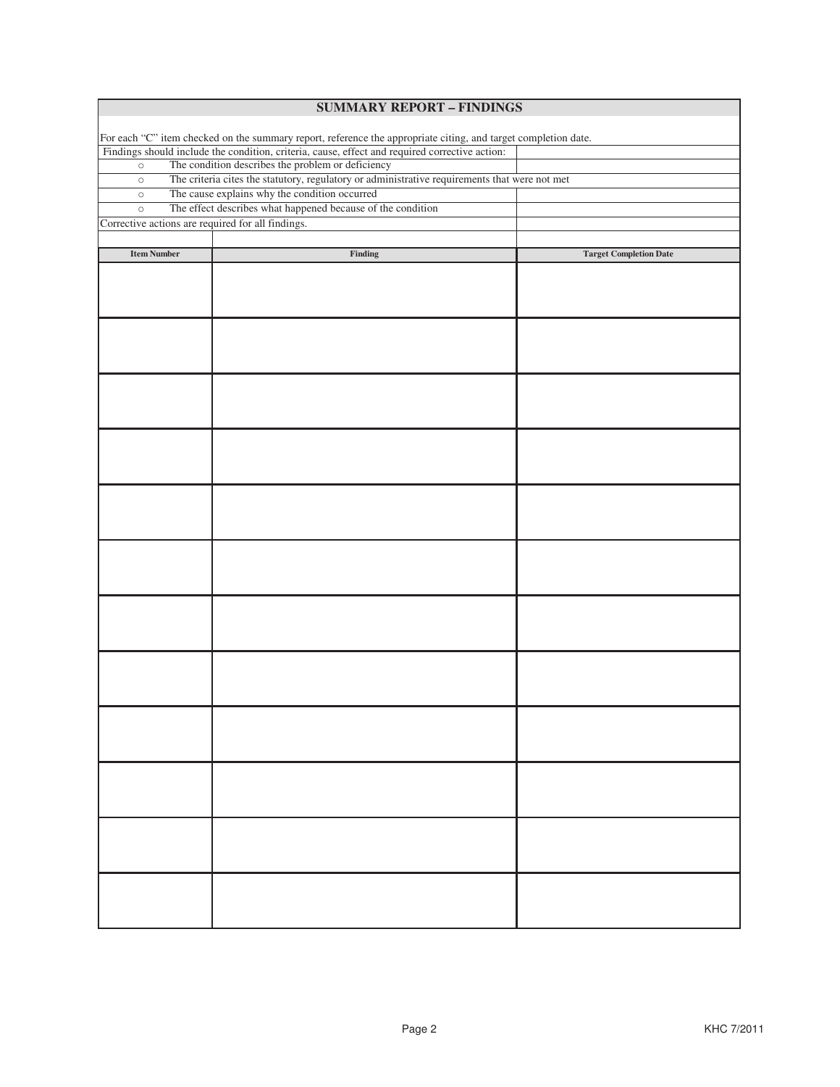| <b>SUMMARY REPORT - FINDINGS</b>                                                                               |                                                                                               |                               |  |  |
|----------------------------------------------------------------------------------------------------------------|-----------------------------------------------------------------------------------------------|-------------------------------|--|--|
|                                                                                                                |                                                                                               |                               |  |  |
| For each "C" item checked on the summary report, reference the appropriate citing, and target completion date. |                                                                                               |                               |  |  |
| Findings should include the condition, criteria, cause, effect and required corrective action:                 |                                                                                               |                               |  |  |
| The condition describes the problem or deficiency<br>$\circ$                                                   |                                                                                               |                               |  |  |
| $\circ$                                                                                                        | The criteria cites the statutory, regulatory or administrative requirements that were not met |                               |  |  |
| $\circ$                                                                                                        | The cause explains why the condition occurred                                                 |                               |  |  |
| $\circ$                                                                                                        | The effect describes what happened because of the condition                                   |                               |  |  |
| Corrective actions are required for all findings.                                                              |                                                                                               |                               |  |  |
|                                                                                                                |                                                                                               |                               |  |  |
| <b>Item Number</b>                                                                                             | Finding                                                                                       | <b>Target Completion Date</b> |  |  |
|                                                                                                                |                                                                                               |                               |  |  |
|                                                                                                                |                                                                                               |                               |  |  |
|                                                                                                                |                                                                                               |                               |  |  |
|                                                                                                                |                                                                                               |                               |  |  |
|                                                                                                                |                                                                                               |                               |  |  |
|                                                                                                                |                                                                                               |                               |  |  |
|                                                                                                                |                                                                                               |                               |  |  |
|                                                                                                                |                                                                                               |                               |  |  |
|                                                                                                                |                                                                                               |                               |  |  |
|                                                                                                                |                                                                                               |                               |  |  |
|                                                                                                                |                                                                                               |                               |  |  |
|                                                                                                                |                                                                                               |                               |  |  |
|                                                                                                                |                                                                                               |                               |  |  |
|                                                                                                                |                                                                                               |                               |  |  |
|                                                                                                                |                                                                                               |                               |  |  |
|                                                                                                                |                                                                                               |                               |  |  |
|                                                                                                                |                                                                                               |                               |  |  |
|                                                                                                                |                                                                                               |                               |  |  |
|                                                                                                                |                                                                                               |                               |  |  |
|                                                                                                                |                                                                                               |                               |  |  |
|                                                                                                                |                                                                                               |                               |  |  |
|                                                                                                                |                                                                                               |                               |  |  |
|                                                                                                                |                                                                                               |                               |  |  |
|                                                                                                                |                                                                                               |                               |  |  |
|                                                                                                                |                                                                                               |                               |  |  |
|                                                                                                                |                                                                                               |                               |  |  |
|                                                                                                                |                                                                                               |                               |  |  |
|                                                                                                                |                                                                                               |                               |  |  |
|                                                                                                                |                                                                                               |                               |  |  |
|                                                                                                                |                                                                                               |                               |  |  |
|                                                                                                                |                                                                                               |                               |  |  |
|                                                                                                                |                                                                                               |                               |  |  |
|                                                                                                                |                                                                                               |                               |  |  |
|                                                                                                                |                                                                                               |                               |  |  |
|                                                                                                                |                                                                                               |                               |  |  |
|                                                                                                                |                                                                                               |                               |  |  |
|                                                                                                                |                                                                                               |                               |  |  |
|                                                                                                                |                                                                                               |                               |  |  |
|                                                                                                                |                                                                                               |                               |  |  |
|                                                                                                                |                                                                                               |                               |  |  |
|                                                                                                                |                                                                                               |                               |  |  |
|                                                                                                                |                                                                                               |                               |  |  |
|                                                                                                                |                                                                                               |                               |  |  |
|                                                                                                                |                                                                                               |                               |  |  |
|                                                                                                                |                                                                                               |                               |  |  |
|                                                                                                                |                                                                                               |                               |  |  |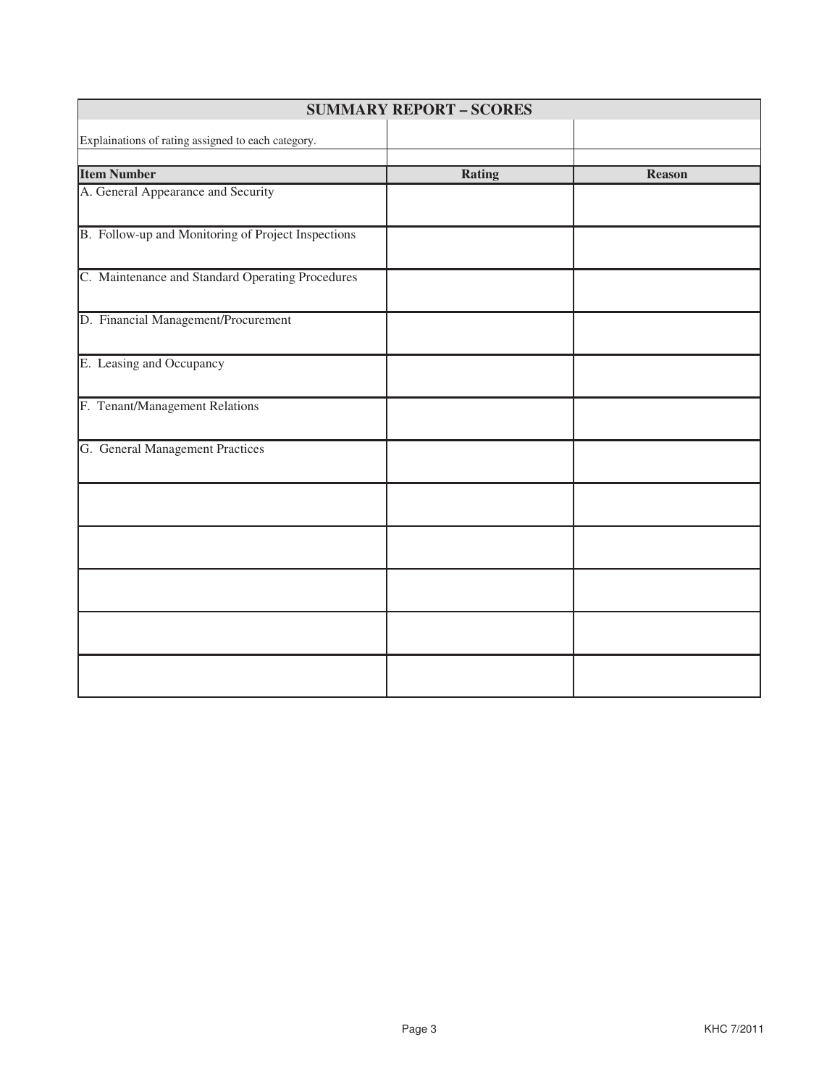| <b>SUMMARY REPORT - SCORES</b>                     |               |               |  |  |
|----------------------------------------------------|---------------|---------------|--|--|
| Explainations of rating assigned to each category. |               |               |  |  |
| <b>Item Number</b>                                 | <b>Rating</b> | <b>Reason</b> |  |  |
| A. General Appearance and Security                 |               |               |  |  |
| B. Follow-up and Monitoring of Project Inspections |               |               |  |  |
| C. Maintenance and Standard Operating Procedures   |               |               |  |  |
| D. Financial Management/Procurement                |               |               |  |  |
| E. Leasing and Occupancy                           |               |               |  |  |
| F. Tenant/Management Relations                     |               |               |  |  |
| G. General Management Practices                    |               |               |  |  |
|                                                    |               |               |  |  |
|                                                    |               |               |  |  |
|                                                    |               |               |  |  |
|                                                    |               |               |  |  |
|                                                    |               |               |  |  |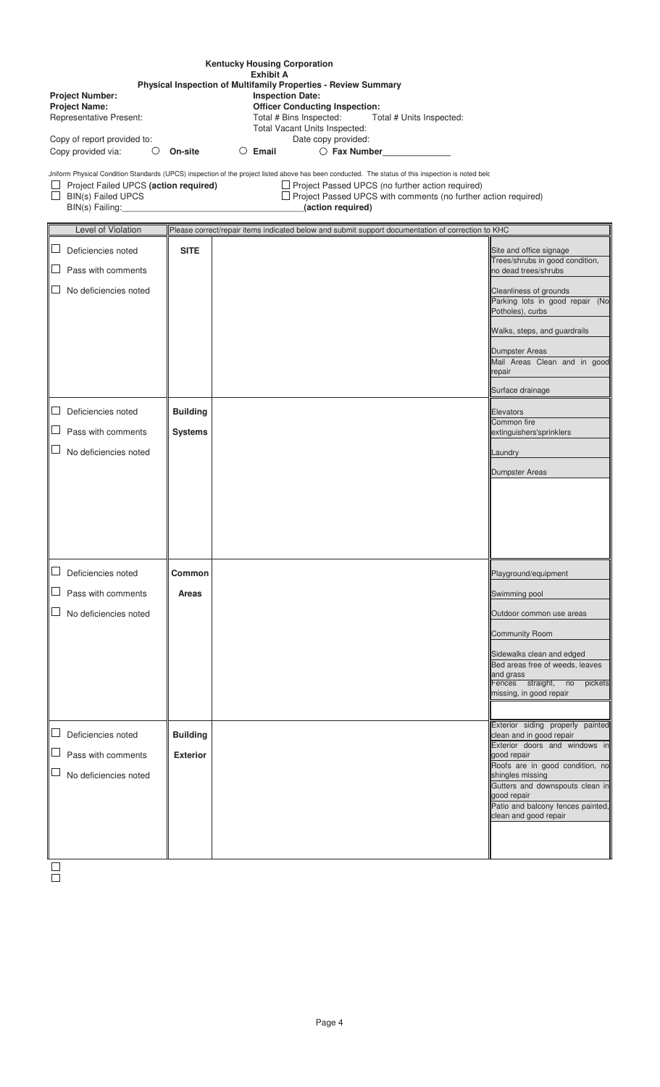| <b>Kentucky Housing Corporation</b>                                                                                                                                                                                                                                                                                         |                                                                                                                                                                                                                                                                                                                                                      |                                                                                                   |                                                                               |  |
|-----------------------------------------------------------------------------------------------------------------------------------------------------------------------------------------------------------------------------------------------------------------------------------------------------------------------------|------------------------------------------------------------------------------------------------------------------------------------------------------------------------------------------------------------------------------------------------------------------------------------------------------------------------------------------------------|---------------------------------------------------------------------------------------------------|-------------------------------------------------------------------------------|--|
| <b>Exhibit A</b><br>Physical Inspection of Multifamily Properties - Review Summary<br><b>Inspection Date:</b><br><b>Project Number:</b><br><b>Project Name:</b><br><b>Officer Conducting Inspection:</b><br>Representative Present:<br>Total # Bins Inspected:<br>Total # Units Inspected:<br>Total Vacant Units Inspected: |                                                                                                                                                                                                                                                                                                                                                      |                                                                                                   |                                                                               |  |
| Copy of report provided to:<br>Copy provided via:<br>O                                                                                                                                                                                                                                                                      | On-site                                                                                                                                                                                                                                                                                                                                              | Date copy provided:<br>Email<br>Ő<br>$\bigcirc$ Fax Number                                        |                                                                               |  |
| BIN(s) Failed UPCS<br>BIN(s) Failing:                                                                                                                                                                                                                                                                                       | Jniform Physical Condition Standards (UPCS) inspection of the project listed above has been conducted. The status of this inspection is noted belc<br>Project Failed UPCS (action required)<br>$\Box$ Project Passed UPCS (no further action required)<br>$\Box$ Project Passed UPCS with comments (no further action required)<br>(action required) |                                                                                                   |                                                                               |  |
| Level of Violation                                                                                                                                                                                                                                                                                                          |                                                                                                                                                                                                                                                                                                                                                      | Please correct/repair items indicated below and submit support documentation of correction to KHC |                                                                               |  |
| ⊔<br>Deficiencies noted                                                                                                                                                                                                                                                                                                     | <b>SITE</b>                                                                                                                                                                                                                                                                                                                                          |                                                                                                   | Site and office signage<br>Trees/shrubs in good condition,                    |  |
| Pass with comments                                                                                                                                                                                                                                                                                                          |                                                                                                                                                                                                                                                                                                                                                      |                                                                                                   | no dead trees/shrubs                                                          |  |
| No deficiencies noted                                                                                                                                                                                                                                                                                                       |                                                                                                                                                                                                                                                                                                                                                      |                                                                                                   | Cleanliness of grounds<br>Parking lots in good repair (No<br>Potholes), curbs |  |
|                                                                                                                                                                                                                                                                                                                             |                                                                                                                                                                                                                                                                                                                                                      |                                                                                                   | Walks, steps, and guardrails                                                  |  |
|                                                                                                                                                                                                                                                                                                                             |                                                                                                                                                                                                                                                                                                                                                      |                                                                                                   | Dumpster Areas<br>Mail Areas Clean and in good<br>repair                      |  |
|                                                                                                                                                                                                                                                                                                                             |                                                                                                                                                                                                                                                                                                                                                      |                                                                                                   | Surface drainage                                                              |  |
| ப<br>Deficiencies noted                                                                                                                                                                                                                                                                                                     | <b>Building</b>                                                                                                                                                                                                                                                                                                                                      |                                                                                                   | Elevators                                                                     |  |
| Pass with comments                                                                                                                                                                                                                                                                                                          | <b>Systems</b>                                                                                                                                                                                                                                                                                                                                       |                                                                                                   | Common fire<br>extinguishers'sprinklers                                       |  |
| No deficiencies noted                                                                                                                                                                                                                                                                                                       |                                                                                                                                                                                                                                                                                                                                                      |                                                                                                   | Laundry                                                                       |  |
|                                                                                                                                                                                                                                                                                                                             |                                                                                                                                                                                                                                                                                                                                                      |                                                                                                   | Dumpster Areas                                                                |  |
|                                                                                                                                                                                                                                                                                                                             |                                                                                                                                                                                                                                                                                                                                                      |                                                                                                   |                                                                               |  |
|                                                                                                                                                                                                                                                                                                                             |                                                                                                                                                                                                                                                                                                                                                      |                                                                                                   |                                                                               |  |
|                                                                                                                                                                                                                                                                                                                             |                                                                                                                                                                                                                                                                                                                                                      |                                                                                                   |                                                                               |  |
|                                                                                                                                                                                                                                                                                                                             |                                                                                                                                                                                                                                                                                                                                                      |                                                                                                   |                                                                               |  |
| ப<br>Deficiencies noted                                                                                                                                                                                                                                                                                                     | Common                                                                                                                                                                                                                                                                                                                                               |                                                                                                   | Playground/equipment                                                          |  |
| Pass with comments                                                                                                                                                                                                                                                                                                          | <b>Areas</b>                                                                                                                                                                                                                                                                                                                                         |                                                                                                   | Swimming pool                                                                 |  |
| No deficiencies noted                                                                                                                                                                                                                                                                                                       |                                                                                                                                                                                                                                                                                                                                                      |                                                                                                   | Outdoor common use areas                                                      |  |
|                                                                                                                                                                                                                                                                                                                             |                                                                                                                                                                                                                                                                                                                                                      |                                                                                                   | Community Room                                                                |  |
|                                                                                                                                                                                                                                                                                                                             |                                                                                                                                                                                                                                                                                                                                                      |                                                                                                   | Sidewalks clean and edged<br>Bed areas free of weeds, leaves                  |  |
|                                                                                                                                                                                                                                                                                                                             |                                                                                                                                                                                                                                                                                                                                                      |                                                                                                   | and grass<br>Fences straight, no<br>pickets                                   |  |
|                                                                                                                                                                                                                                                                                                                             |                                                                                                                                                                                                                                                                                                                                                      |                                                                                                   | missing, in good repair                                                       |  |
| ⊔                                                                                                                                                                                                                                                                                                                           |                                                                                                                                                                                                                                                                                                                                                      |                                                                                                   | Exterior siding properly painted                                              |  |
| Deficiencies noted<br>Pass with comments                                                                                                                                                                                                                                                                                    | <b>Building</b><br><b>Exterior</b>                                                                                                                                                                                                                                                                                                                   |                                                                                                   | clean and in good repair<br>Exterior doors and windows in                     |  |
| No deficiencies noted                                                                                                                                                                                                                                                                                                       |                                                                                                                                                                                                                                                                                                                                                      |                                                                                                   | good repair<br>Roofs are in good condition, no<br>shingles missing            |  |
|                                                                                                                                                                                                                                                                                                                             |                                                                                                                                                                                                                                                                                                                                                      |                                                                                                   | Gutters and downspouts clean in<br>good repair                                |  |
|                                                                                                                                                                                                                                                                                                                             |                                                                                                                                                                                                                                                                                                                                                      |                                                                                                   | Patio and balcony fences painted,<br>clean and good repair                    |  |
|                                                                                                                                                                                                                                                                                                                             |                                                                                                                                                                                                                                                                                                                                                      |                                                                                                   |                                                                               |  |
|                                                                                                                                                                                                                                                                                                                             |                                                                                                                                                                                                                                                                                                                                                      |                                                                                                   |                                                                               |  |
|                                                                                                                                                                                                                                                                                                                             |                                                                                                                                                                                                                                                                                                                                                      |                                                                                                   |                                                                               |  |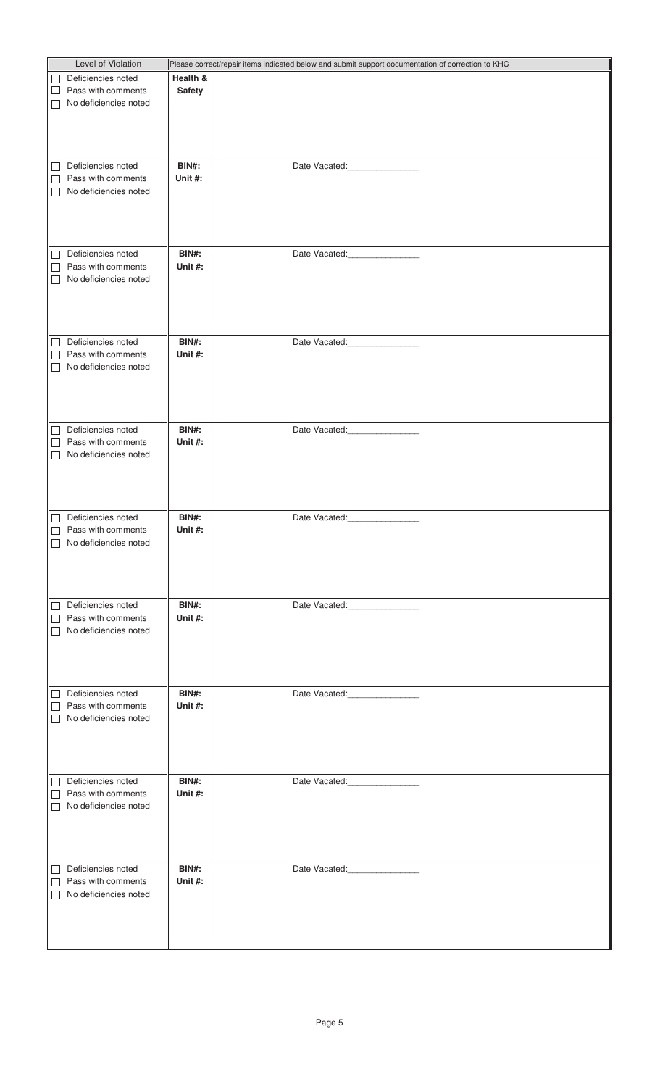| Level of Violation                    |               | Please correct/repair items indicated below and submit support documentation of correction to KHC |
|---------------------------------------|---------------|---------------------------------------------------------------------------------------------------|
| Deficiencies noted<br>$\Box$          | Health &      |                                                                                                   |
| Pass with comments<br>$\Box$          | <b>Safety</b> |                                                                                                   |
| No deficiencies noted<br>$\mathsf{L}$ |               |                                                                                                   |
|                                       |               |                                                                                                   |
|                                       |               |                                                                                                   |
|                                       |               |                                                                                                   |
|                                       |               |                                                                                                   |
| Deficiencies noted<br>$\sqcup$        | BIN#:         | Date Vacated: National Property of the United States                                              |
| Pass with comments<br>$\perp$         | Unit $#$ :    |                                                                                                   |
| No deficiencies noted<br>$\mathsf{L}$ |               |                                                                                                   |
|                                       |               |                                                                                                   |
|                                       |               |                                                                                                   |
|                                       |               |                                                                                                   |
| Deficiencies noted<br>$\Box$          | BIN#:         | Date Vacated: ________________                                                                    |
| Pass with comments                    | Unit #:       |                                                                                                   |
| No deficiencies noted<br>$\mathsf{L}$ |               |                                                                                                   |
|                                       |               |                                                                                                   |
|                                       |               |                                                                                                   |
|                                       |               |                                                                                                   |
| Deficiencies noted<br>$\Box$          | <b>BIN#:</b>  | Date Vacated: _________________                                                                   |
| Pass with comments<br>$\Box$          | Unit #:       |                                                                                                   |
| No deficiencies noted<br>$\mathsf{L}$ |               |                                                                                                   |
|                                       |               |                                                                                                   |
|                                       |               |                                                                                                   |
|                                       |               |                                                                                                   |
|                                       |               |                                                                                                   |
| Deficiencies noted<br>$\Box$          | <b>BIN#:</b>  | Date Vacated:                                                                                     |
| Pass with comments                    | Unit #:       |                                                                                                   |
| No deficiencies noted                 |               |                                                                                                   |
|                                       |               |                                                                                                   |
|                                       |               |                                                                                                   |
|                                       |               |                                                                                                   |
| Deficiencies noted                    | BIN#:         | Date Vacated:<br><b>Contract Contract Contract</b>                                                |
| Pass with comments                    | Unit #:       |                                                                                                   |
| No deficiencies noted<br>$\perp$      |               |                                                                                                   |
|                                       |               |                                                                                                   |
|                                       |               |                                                                                                   |
|                                       |               |                                                                                                   |
| Deficiencies noted<br>П               | BIN#:         | Date Vacated:                                                                                     |
| Pass with comments                    | Unit #:       |                                                                                                   |
| No deficiencies noted                 |               |                                                                                                   |
|                                       |               |                                                                                                   |
|                                       |               |                                                                                                   |
|                                       |               |                                                                                                   |
|                                       |               |                                                                                                   |
| Deficiencies noted<br>$\Box$          | BIN#:         | Date Vacated: ________________                                                                    |
| Pass with comments<br>$\mathsf{L}$    | Unit #:       |                                                                                                   |
| No deficiencies noted                 |               |                                                                                                   |
|                                       |               |                                                                                                   |
|                                       |               |                                                                                                   |
|                                       |               |                                                                                                   |
| Deficiencies noted<br>$\Box$          | BIN#:         | Date Vacated: _________________                                                                   |
| Pass with comments<br>$\perp$         | Unit #:       |                                                                                                   |
| No deficiencies noted<br>$\perp$      |               |                                                                                                   |
|                                       |               |                                                                                                   |
|                                       |               |                                                                                                   |
|                                       |               |                                                                                                   |
| Deficiencies noted<br>$\Box$          | <b>BIN#:</b>  | Date Vacated: ________________                                                                    |
| Pass with comments                    | Unit #:       |                                                                                                   |
| No deficiencies noted                 |               |                                                                                                   |
|                                       |               |                                                                                                   |
|                                       |               |                                                                                                   |
|                                       |               |                                                                                                   |
|                                       |               |                                                                                                   |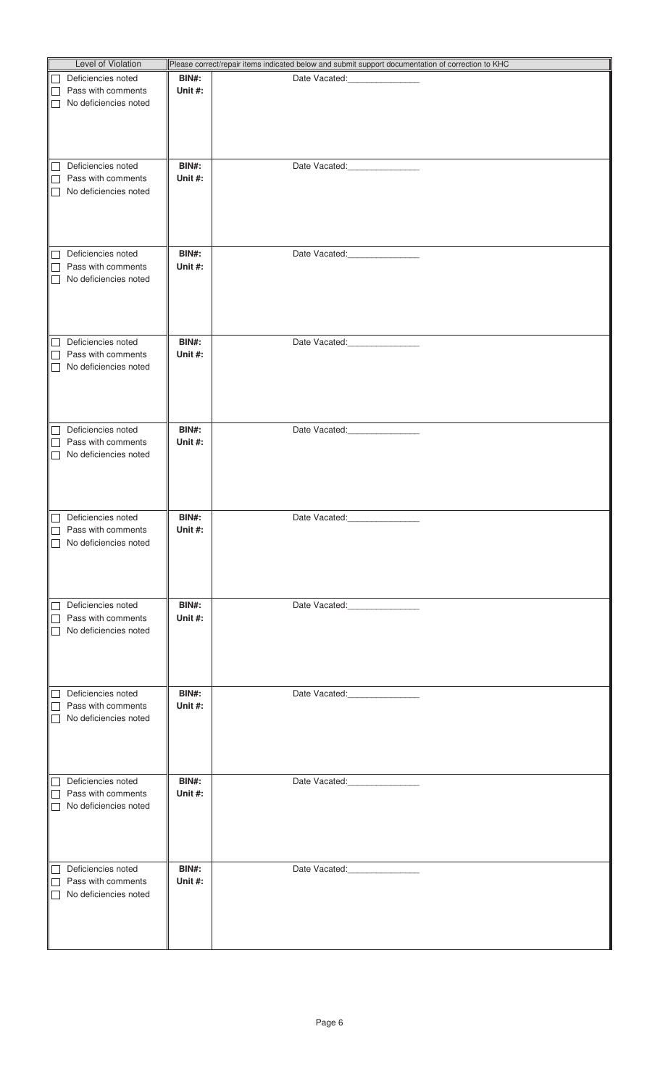| <b>Level of Violation</b>                  |              | Please correct/repair items indicated below and submit support documentation of correction to KHC                                                                                                                                                                                                                                                                                                                                                                      |
|--------------------------------------------|--------------|------------------------------------------------------------------------------------------------------------------------------------------------------------------------------------------------------------------------------------------------------------------------------------------------------------------------------------------------------------------------------------------------------------------------------------------------------------------------|
|                                            |              |                                                                                                                                                                                                                                                                                                                                                                                                                                                                        |
| Deficiencies noted<br>$\perp$              | BIN#:        | Date Vacated: _______________                                                                                                                                                                                                                                                                                                                                                                                                                                          |
| Pass with comments<br>$\vert \ \ \vert$    | Unit #:      |                                                                                                                                                                                                                                                                                                                                                                                                                                                                        |
| No deficiencies noted<br>$\vert \ \ \vert$ |              |                                                                                                                                                                                                                                                                                                                                                                                                                                                                        |
|                                            |              |                                                                                                                                                                                                                                                                                                                                                                                                                                                                        |
|                                            |              |                                                                                                                                                                                                                                                                                                                                                                                                                                                                        |
|                                            |              |                                                                                                                                                                                                                                                                                                                                                                                                                                                                        |
|                                            |              |                                                                                                                                                                                                                                                                                                                                                                                                                                                                        |
| Deficiencies noted<br>$\perp$              | <b>BIN#:</b> | Date Vacated:<br><u>[</u> [11] Date Vacated:                                                                                                                                                                                                                                                                                                                                                                                                                           |
| Pass with comments<br>$\mathsf{L}$         | Unit #:      |                                                                                                                                                                                                                                                                                                                                                                                                                                                                        |
| No deficiencies noted<br>$\Box$            |              |                                                                                                                                                                                                                                                                                                                                                                                                                                                                        |
|                                            |              |                                                                                                                                                                                                                                                                                                                                                                                                                                                                        |
|                                            |              |                                                                                                                                                                                                                                                                                                                                                                                                                                                                        |
|                                            |              |                                                                                                                                                                                                                                                                                                                                                                                                                                                                        |
|                                            |              |                                                                                                                                                                                                                                                                                                                                                                                                                                                                        |
| Deficiencies noted<br>⊔                    | BIN#:        | Date Vacated: ________________                                                                                                                                                                                                                                                                                                                                                                                                                                         |
| Pass with comments<br>$\mathsf{L}$         | Unit #:      |                                                                                                                                                                                                                                                                                                                                                                                                                                                                        |
| No deficiencies noted<br>$\vert \ \ \vert$ |              |                                                                                                                                                                                                                                                                                                                                                                                                                                                                        |
|                                            |              |                                                                                                                                                                                                                                                                                                                                                                                                                                                                        |
|                                            |              |                                                                                                                                                                                                                                                                                                                                                                                                                                                                        |
|                                            |              |                                                                                                                                                                                                                                                                                                                                                                                                                                                                        |
|                                            |              |                                                                                                                                                                                                                                                                                                                                                                                                                                                                        |
| Deficiencies noted                         | BIN#:        | Date Vacated: National Property of the United                                                                                                                                                                                                                                                                                                                                                                                                                          |
| $\vert \ \ \vert$<br>Pass with comments    |              |                                                                                                                                                                                                                                                                                                                                                                                                                                                                        |
|                                            | Unit #:      |                                                                                                                                                                                                                                                                                                                                                                                                                                                                        |
| No deficiencies noted<br>$\mathsf{L}$      |              |                                                                                                                                                                                                                                                                                                                                                                                                                                                                        |
|                                            |              |                                                                                                                                                                                                                                                                                                                                                                                                                                                                        |
|                                            |              |                                                                                                                                                                                                                                                                                                                                                                                                                                                                        |
|                                            |              |                                                                                                                                                                                                                                                                                                                                                                                                                                                                        |
|                                            |              |                                                                                                                                                                                                                                                                                                                                                                                                                                                                        |
| Deficiencies noted<br>$\Box$               | <b>BIN#:</b> | Date Vacated: ________________                                                                                                                                                                                                                                                                                                                                                                                                                                         |
| Pass with comments                         | Unit #:      |                                                                                                                                                                                                                                                                                                                                                                                                                                                                        |
| No deficiencies noted                      |              |                                                                                                                                                                                                                                                                                                                                                                                                                                                                        |
|                                            |              |                                                                                                                                                                                                                                                                                                                                                                                                                                                                        |
|                                            |              |                                                                                                                                                                                                                                                                                                                                                                                                                                                                        |
|                                            |              |                                                                                                                                                                                                                                                                                                                                                                                                                                                                        |
|                                            |              |                                                                                                                                                                                                                                                                                                                                                                                                                                                                        |
| Deficiencies noted<br>$\vert \ \ \vert$    | BIN#:        | Date Vacated:<br>$\begin{tabular}{ccccc} \multicolumn{2}{c }{\textbf{1} & \multicolumn{2}{c }{\textbf{2} & \multicolumn{2}{c }{\textbf{3} & \multicolumn{2}{c }{\textbf{4} & \multicolumn{2}{c }{\textbf{5} & \multicolumn{2}{c }{\textbf{6} & \multicolumn{2}{c }{\textbf{6} & \multicolumn{2}{c }{\textbf{6} & \multicolumn{2}{c }{\textbf{6} & \multicolumn{2}{c }{\textbf{6} & \multicolumn{2}{c }{\textbf{6} & \multicolumn{2}{c }{\textbf{6} & \multicolumn{2}{$ |
| Pass with comments                         | Unit $#$ :   |                                                                                                                                                                                                                                                                                                                                                                                                                                                                        |
| No deficiencies noted                      |              |                                                                                                                                                                                                                                                                                                                                                                                                                                                                        |
|                                            |              |                                                                                                                                                                                                                                                                                                                                                                                                                                                                        |
|                                            |              |                                                                                                                                                                                                                                                                                                                                                                                                                                                                        |
|                                            |              |                                                                                                                                                                                                                                                                                                                                                                                                                                                                        |
|                                            |              |                                                                                                                                                                                                                                                                                                                                                                                                                                                                        |
| Deficiencies noted<br>$\Box$               | BIN#:        | Date Vacated:                                                                                                                                                                                                                                                                                                                                                                                                                                                          |
| Pass with comments                         | Unit #:      |                                                                                                                                                                                                                                                                                                                                                                                                                                                                        |
| No deficiencies noted<br>$\mathsf{L}$      |              |                                                                                                                                                                                                                                                                                                                                                                                                                                                                        |
|                                            |              |                                                                                                                                                                                                                                                                                                                                                                                                                                                                        |
|                                            |              |                                                                                                                                                                                                                                                                                                                                                                                                                                                                        |
|                                            |              |                                                                                                                                                                                                                                                                                                                                                                                                                                                                        |
|                                            |              |                                                                                                                                                                                                                                                                                                                                                                                                                                                                        |
| Deficiencies noted                         | BIN#:        | Date Vacated: ________________                                                                                                                                                                                                                                                                                                                                                                                                                                         |
| $\Box$                                     |              |                                                                                                                                                                                                                                                                                                                                                                                                                                                                        |
| Pass with comments                         | Unit #:      |                                                                                                                                                                                                                                                                                                                                                                                                                                                                        |
| No deficiencies noted                      |              |                                                                                                                                                                                                                                                                                                                                                                                                                                                                        |
|                                            |              |                                                                                                                                                                                                                                                                                                                                                                                                                                                                        |
|                                            |              |                                                                                                                                                                                                                                                                                                                                                                                                                                                                        |
|                                            |              |                                                                                                                                                                                                                                                                                                                                                                                                                                                                        |
|                                            |              |                                                                                                                                                                                                                                                                                                                                                                                                                                                                        |
| Deficiencies noted<br>$\Box$               | BIN#:        | Date Vacated: ________________                                                                                                                                                                                                                                                                                                                                                                                                                                         |
| Pass with comments                         | Unit #:      |                                                                                                                                                                                                                                                                                                                                                                                                                                                                        |
| No deficiencies noted                      |              |                                                                                                                                                                                                                                                                                                                                                                                                                                                                        |
|                                            |              |                                                                                                                                                                                                                                                                                                                                                                                                                                                                        |
|                                            |              |                                                                                                                                                                                                                                                                                                                                                                                                                                                                        |
|                                            |              |                                                                                                                                                                                                                                                                                                                                                                                                                                                                        |
|                                            |              |                                                                                                                                                                                                                                                                                                                                                                                                                                                                        |
| Deficiencies noted                         | BIN#:        | Date Vacated: _________________                                                                                                                                                                                                                                                                                                                                                                                                                                        |
| Pass with comments                         | Unit #:      |                                                                                                                                                                                                                                                                                                                                                                                                                                                                        |
| No deficiencies noted<br>$\mathbf{I}$      |              |                                                                                                                                                                                                                                                                                                                                                                                                                                                                        |
|                                            |              |                                                                                                                                                                                                                                                                                                                                                                                                                                                                        |
|                                            |              |                                                                                                                                                                                                                                                                                                                                                                                                                                                                        |
|                                            |              |                                                                                                                                                                                                                                                                                                                                                                                                                                                                        |
|                                            |              |                                                                                                                                                                                                                                                                                                                                                                                                                                                                        |
|                                            |              |                                                                                                                                                                                                                                                                                                                                                                                                                                                                        |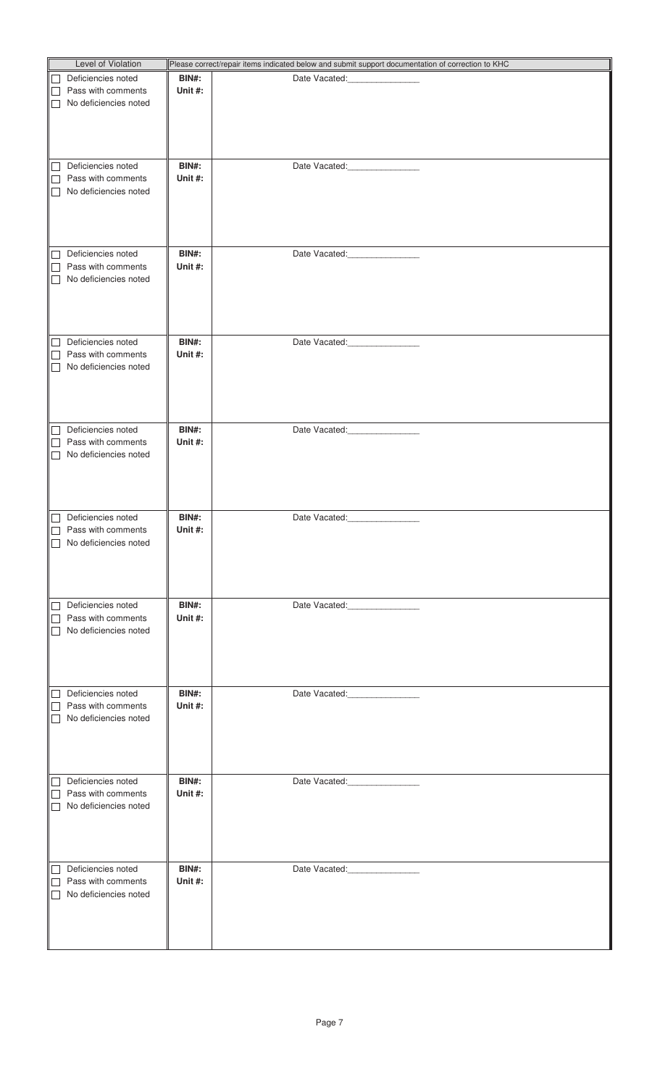| <b>Level of Violation</b>                  |              | Please correct/repair items indicated below and submit support documentation of correction to KHC                                                                                                                                                                                                                                                                                                                                                                      |
|--------------------------------------------|--------------|------------------------------------------------------------------------------------------------------------------------------------------------------------------------------------------------------------------------------------------------------------------------------------------------------------------------------------------------------------------------------------------------------------------------------------------------------------------------|
|                                            |              |                                                                                                                                                                                                                                                                                                                                                                                                                                                                        |
| Deficiencies noted<br>$\perp$              | BIN#:        | Date Vacated: _______________                                                                                                                                                                                                                                                                                                                                                                                                                                          |
| Pass with comments<br>$\vert \ \ \vert$    | Unit #:      |                                                                                                                                                                                                                                                                                                                                                                                                                                                                        |
| No deficiencies noted<br>$\vert \ \ \vert$ |              |                                                                                                                                                                                                                                                                                                                                                                                                                                                                        |
|                                            |              |                                                                                                                                                                                                                                                                                                                                                                                                                                                                        |
|                                            |              |                                                                                                                                                                                                                                                                                                                                                                                                                                                                        |
|                                            |              |                                                                                                                                                                                                                                                                                                                                                                                                                                                                        |
|                                            |              |                                                                                                                                                                                                                                                                                                                                                                                                                                                                        |
| Deficiencies noted<br>$\perp$              | <b>BIN#:</b> | Date Vacated:<br><u>[</u> [11] Date Vacated:                                                                                                                                                                                                                                                                                                                                                                                                                           |
| Pass with comments<br>$\mathsf{L}$         | Unit #:      |                                                                                                                                                                                                                                                                                                                                                                                                                                                                        |
| No deficiencies noted<br>$\Box$            |              |                                                                                                                                                                                                                                                                                                                                                                                                                                                                        |
|                                            |              |                                                                                                                                                                                                                                                                                                                                                                                                                                                                        |
|                                            |              |                                                                                                                                                                                                                                                                                                                                                                                                                                                                        |
|                                            |              |                                                                                                                                                                                                                                                                                                                                                                                                                                                                        |
|                                            |              |                                                                                                                                                                                                                                                                                                                                                                                                                                                                        |
| Deficiencies noted<br>⊔                    | BIN#:        | Date Vacated: ________________                                                                                                                                                                                                                                                                                                                                                                                                                                         |
| Pass with comments<br>$\mathsf{L}$         | Unit #:      |                                                                                                                                                                                                                                                                                                                                                                                                                                                                        |
| No deficiencies noted<br>$\vert \ \ \vert$ |              |                                                                                                                                                                                                                                                                                                                                                                                                                                                                        |
|                                            |              |                                                                                                                                                                                                                                                                                                                                                                                                                                                                        |
|                                            |              |                                                                                                                                                                                                                                                                                                                                                                                                                                                                        |
|                                            |              |                                                                                                                                                                                                                                                                                                                                                                                                                                                                        |
|                                            |              |                                                                                                                                                                                                                                                                                                                                                                                                                                                                        |
|                                            |              |                                                                                                                                                                                                                                                                                                                                                                                                                                                                        |
| Deficiencies noted<br>$\vert \ \ \vert$    | BIN#:        | Date Vacated: National Property of the United                                                                                                                                                                                                                                                                                                                                                                                                                          |
| Pass with comments                         | Unit #:      |                                                                                                                                                                                                                                                                                                                                                                                                                                                                        |
| No deficiencies noted<br>$\mathsf{L}$      |              |                                                                                                                                                                                                                                                                                                                                                                                                                                                                        |
|                                            |              |                                                                                                                                                                                                                                                                                                                                                                                                                                                                        |
|                                            |              |                                                                                                                                                                                                                                                                                                                                                                                                                                                                        |
|                                            |              |                                                                                                                                                                                                                                                                                                                                                                                                                                                                        |
|                                            |              |                                                                                                                                                                                                                                                                                                                                                                                                                                                                        |
| Deficiencies noted<br>$\Box$               | <b>BIN#:</b> | Date Vacated: ________________                                                                                                                                                                                                                                                                                                                                                                                                                                         |
| Pass with comments                         | Unit #:      |                                                                                                                                                                                                                                                                                                                                                                                                                                                                        |
| No deficiencies noted                      |              |                                                                                                                                                                                                                                                                                                                                                                                                                                                                        |
|                                            |              |                                                                                                                                                                                                                                                                                                                                                                                                                                                                        |
|                                            |              |                                                                                                                                                                                                                                                                                                                                                                                                                                                                        |
|                                            |              |                                                                                                                                                                                                                                                                                                                                                                                                                                                                        |
|                                            |              |                                                                                                                                                                                                                                                                                                                                                                                                                                                                        |
|                                            |              |                                                                                                                                                                                                                                                                                                                                                                                                                                                                        |
| Deficiencies noted<br>$\vert \ \ \vert$    | BIN#:        | Date Vacated:<br>$\begin{tabular}{ccccc} \multicolumn{2}{c }{\textbf{1} & \multicolumn{2}{c }{\textbf{2} & \multicolumn{2}{c }{\textbf{3} & \multicolumn{2}{c }{\textbf{4} & \multicolumn{2}{c }{\textbf{5} & \multicolumn{2}{c }{\textbf{6} & \multicolumn{2}{c }{\textbf{6} & \multicolumn{2}{c }{\textbf{6} & \multicolumn{2}{c }{\textbf{6} & \multicolumn{2}{c }{\textbf{6} & \multicolumn{2}{c }{\textbf{6} & \multicolumn{2}{c }{\textbf{6} & \multicolumn{2}{$ |
| Pass with comments                         | Unit $#$ :   |                                                                                                                                                                                                                                                                                                                                                                                                                                                                        |
| No deficiencies noted                      |              |                                                                                                                                                                                                                                                                                                                                                                                                                                                                        |
|                                            |              |                                                                                                                                                                                                                                                                                                                                                                                                                                                                        |
|                                            |              |                                                                                                                                                                                                                                                                                                                                                                                                                                                                        |
|                                            |              |                                                                                                                                                                                                                                                                                                                                                                                                                                                                        |
|                                            |              |                                                                                                                                                                                                                                                                                                                                                                                                                                                                        |
| Deficiencies noted<br>$\Box$               | BIN#:        | Date Vacated:                                                                                                                                                                                                                                                                                                                                                                                                                                                          |
| Pass with comments                         | Unit #:      |                                                                                                                                                                                                                                                                                                                                                                                                                                                                        |
| No deficiencies noted<br>$\mathsf{L}$      |              |                                                                                                                                                                                                                                                                                                                                                                                                                                                                        |
|                                            |              |                                                                                                                                                                                                                                                                                                                                                                                                                                                                        |
|                                            |              |                                                                                                                                                                                                                                                                                                                                                                                                                                                                        |
|                                            |              |                                                                                                                                                                                                                                                                                                                                                                                                                                                                        |
|                                            |              |                                                                                                                                                                                                                                                                                                                                                                                                                                                                        |
| Deficiencies noted<br>$\perp$              | BIN#:        | Date Vacated: ________________                                                                                                                                                                                                                                                                                                                                                                                                                                         |
| Pass with comments                         | Unit #:      |                                                                                                                                                                                                                                                                                                                                                                                                                                                                        |
| No deficiencies noted                      |              |                                                                                                                                                                                                                                                                                                                                                                                                                                                                        |
|                                            |              |                                                                                                                                                                                                                                                                                                                                                                                                                                                                        |
|                                            |              |                                                                                                                                                                                                                                                                                                                                                                                                                                                                        |
|                                            |              |                                                                                                                                                                                                                                                                                                                                                                                                                                                                        |
|                                            |              |                                                                                                                                                                                                                                                                                                                                                                                                                                                                        |
|                                            |              |                                                                                                                                                                                                                                                                                                                                                                                                                                                                        |
| Deficiencies noted<br>$\Box$               | BIN#:        | Date Vacated: ________________                                                                                                                                                                                                                                                                                                                                                                                                                                         |
| Pass with comments                         | Unit #:      |                                                                                                                                                                                                                                                                                                                                                                                                                                                                        |
| No deficiencies noted                      |              |                                                                                                                                                                                                                                                                                                                                                                                                                                                                        |
|                                            |              |                                                                                                                                                                                                                                                                                                                                                                                                                                                                        |
|                                            |              |                                                                                                                                                                                                                                                                                                                                                                                                                                                                        |
|                                            |              |                                                                                                                                                                                                                                                                                                                                                                                                                                                                        |
|                                            |              |                                                                                                                                                                                                                                                                                                                                                                                                                                                                        |
| Deficiencies noted                         | BIN#:        | Date Vacated: _________________                                                                                                                                                                                                                                                                                                                                                                                                                                        |
| Pass with comments                         | Unit #:      |                                                                                                                                                                                                                                                                                                                                                                                                                                                                        |
| No deficiencies noted<br>$\mathbf{I}$      |              |                                                                                                                                                                                                                                                                                                                                                                                                                                                                        |
|                                            |              |                                                                                                                                                                                                                                                                                                                                                                                                                                                                        |
|                                            |              |                                                                                                                                                                                                                                                                                                                                                                                                                                                                        |
|                                            |              |                                                                                                                                                                                                                                                                                                                                                                                                                                                                        |
|                                            |              |                                                                                                                                                                                                                                                                                                                                                                                                                                                                        |
|                                            |              |                                                                                                                                                                                                                                                                                                                                                                                                                                                                        |